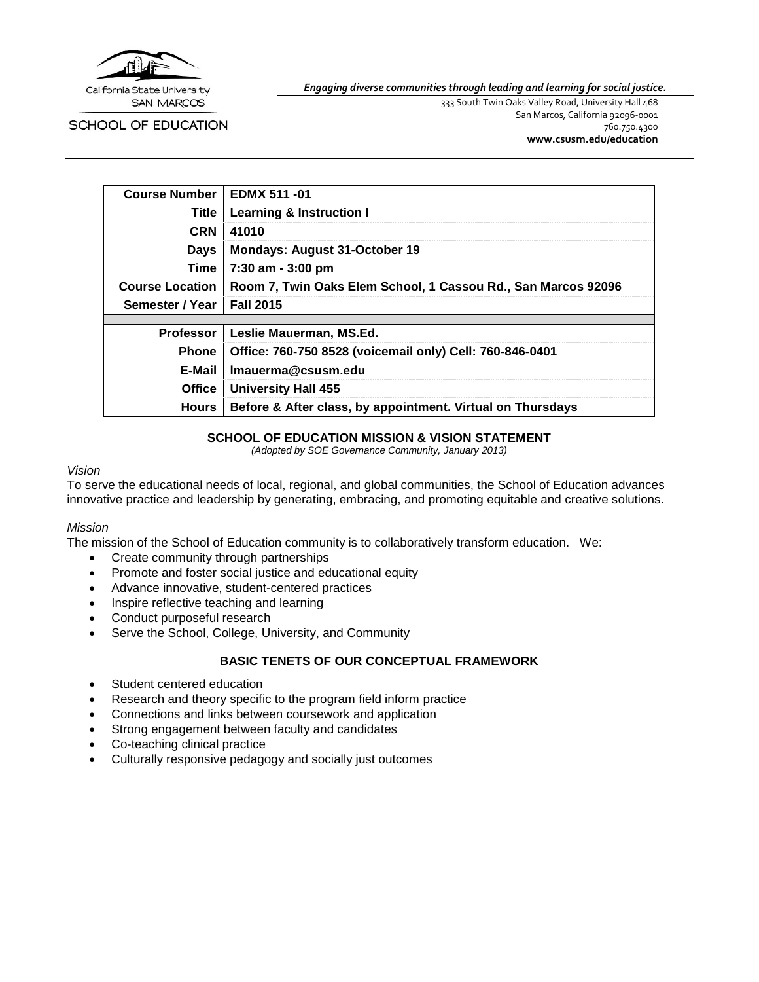

SCHOOL OF EDUCATION

*Engaging diverse communities through leading and learning for social justice.*

333 South Twin Oaks Valley Road, University Hall 468 San Marcos, California 92096-0001 760.750.4300 **[www.csusm.edu/education](http://www.csusm.edu/education)**

| <b>Course Number</b>   | EDMX 511 -01                                                  |
|------------------------|---------------------------------------------------------------|
| Title                  | <b>Learning &amp; Instruction I</b>                           |
| <b>CRN</b>             | 41010                                                         |
| Days                   | <b>Mondays: August 31-October 19</b>                          |
| Time                   | 7:30 am - 3:00 pm                                             |
| <b>Course Location</b> | Room 7, Twin Oaks Elem School, 1 Cassou Rd., San Marcos 92096 |
| Semester / Year        | <b>Fall 2015</b>                                              |
|                        |                                                               |
| <b>Professor</b>       | Leslie Mauerman, MS.Ed.                                       |
| <b>Phone</b>           | Office: 760-750 8528 (voicemail only) Cell: 760-846-0401      |
| E-Mail                 | Imauerma@csusm.edu                                            |
| <b>Office</b>          | <b>University Hall 455</b>                                    |
| Hours                  | Before & After class, by appointment. Virtual on Thursdays    |

### **SCHOOL OF EDUCATION MISSION & VISION STATEMENT**

*(Adopted by SOE Governance Community, January 2013)*

#### *Vision*

To serve the educational needs of local, regional, and global communities, the School of Education advances innovative practice and leadership by generating, embracing, and promoting equitable and creative solutions.

#### *Mission*

The mission of the School of Education community is to collaboratively transform education. We:

- Create community through partnerships
- Promote and foster social justice and educational equity
- Advance innovative, student-centered practices
- Inspire reflective teaching and learning
- Conduct purposeful research
- Serve the School, College, University, and Community

### **BASIC TENETS OF OUR CONCEPTUAL FRAMEWORK**

- Student centered education
- Research and theory specific to the program field inform practice
- Connections and links between coursework and application
- Strong engagement between faculty and candidates
- Co-teaching clinical practice
- Culturally responsive pedagogy and socially just outcomes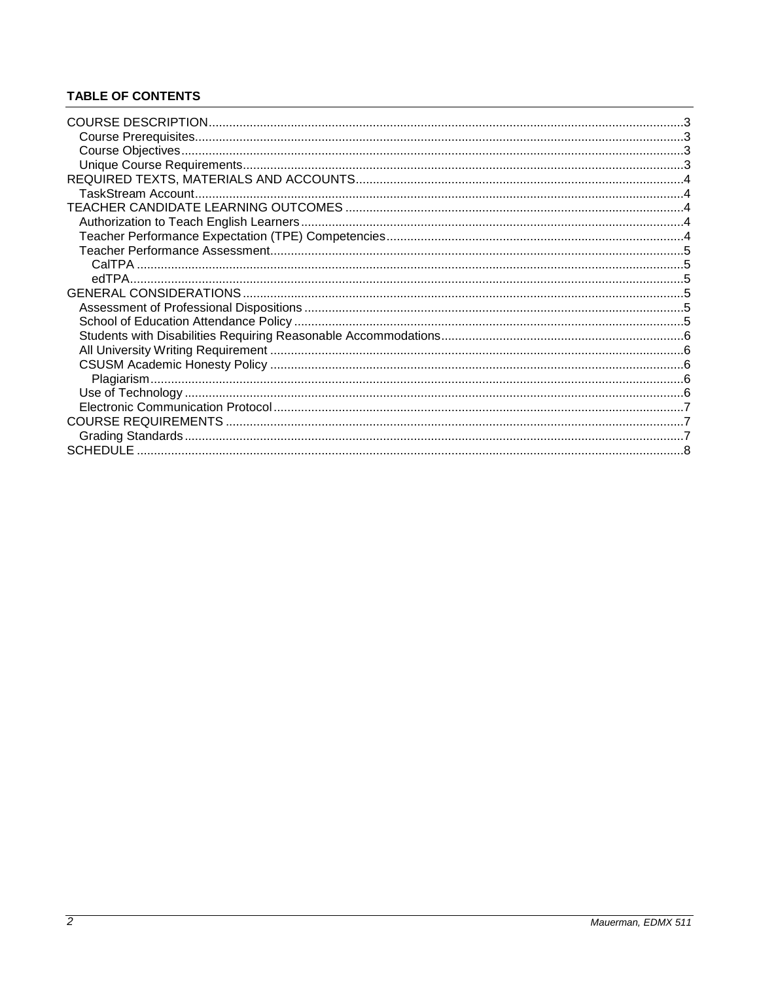## **TABLE OF CONTENTS**

| <b>SCHEDULE</b> |  |
|-----------------|--|
|                 |  |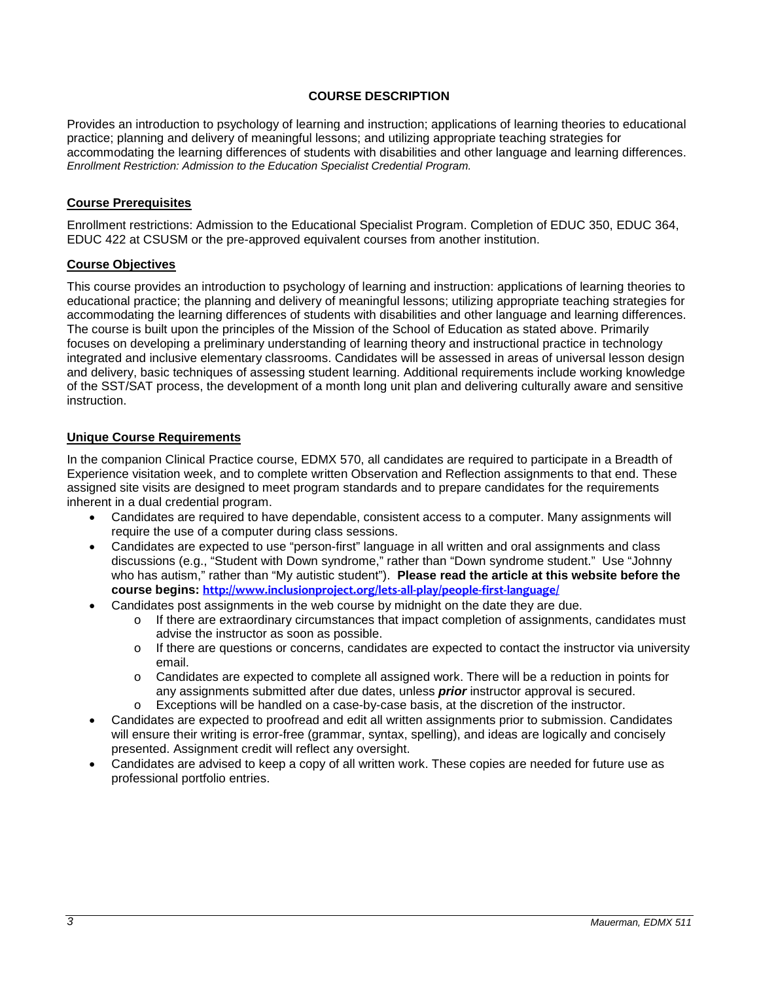### **COURSE DESCRIPTION**

<span id="page-2-0"></span>Provides an introduction to psychology of learning and instruction; applications of learning theories to educational practice; planning and delivery of meaningful lessons; and utilizing appropriate teaching strategies for accommodating the learning differences of students with disabilities and other language and learning differences. *Enrollment Restriction: Admission to the Education Specialist Credential Program.* 

### <span id="page-2-1"></span>**Course Prerequisites**

Enrollment restrictions: Admission to the Educational Specialist Program. Completion of EDUC 350, EDUC 364, EDUC 422 at CSUSM or the pre-approved equivalent courses from another institution.

#### <span id="page-2-2"></span>**Course Objectives**

This course provides an introduction to psychology of learning and instruction: applications of learning theories to educational practice; the planning and delivery of meaningful lessons; utilizing appropriate teaching strategies for accommodating the learning differences of students with disabilities and other language and learning differences. The course is built upon the principles of the Mission of the School of Education as stated above. Primarily focuses on developing a preliminary understanding of learning theory and instructional practice in technology integrated and inclusive elementary classrooms. Candidates will be assessed in areas of universal lesson design and delivery, basic techniques of assessing student learning. Additional requirements include working knowledge of the SST/SAT process, the development of a month long unit plan and delivering culturally aware and sensitive instruction.

### <span id="page-2-3"></span>**Unique Course Requirements**

In the companion Clinical Practice course, EDMX 570, all candidates are required to participate in a Breadth of Experience visitation week, and to complete written Observation and Reflection assignments to that end. These assigned site visits are designed to meet program standards and to prepare candidates for the requirements inherent in a dual credential program.

- Candidates are required to have dependable, consistent access to a computer. Many assignments will require the use of a computer during class sessions.
- Candidates are expected to use "person-first" language in all written and oral assignments and class discussions (e.g., "Student with Down syndrome," rather than "Down syndrome student." Use "Johnny who has autism," rather than "My autistic student"). **Please read the article at this website before the course begins: <http://www.inclusionproject.org/lets-all-play/people-first-language/>**
- Candidates post assignments in the web course by midnight on the date they are due.
	- $\circ$  If there are extraordinary circumstances that impact completion of assignments, candidates must advise the instructor as soon as possible.
	- $\circ$  If there are questions or concerns, candidates are expected to contact the instructor via university email.
	- o Candidates are expected to complete all assigned work. There will be a reduction in points for any assignments submitted after due dates, unless *prior* instructor approval is secured.
	- o Exceptions will be handled on a case-by-case basis, at the discretion of the instructor.
- Candidates are expected to proofread and edit all written assignments prior to submission. Candidates will ensure their writing is error-free (grammar, syntax, spelling), and ideas are logically and concisely presented. Assignment credit will reflect any oversight.
- Candidates are advised to keep a copy of all written work. These copies are needed for future use as professional portfolio entries.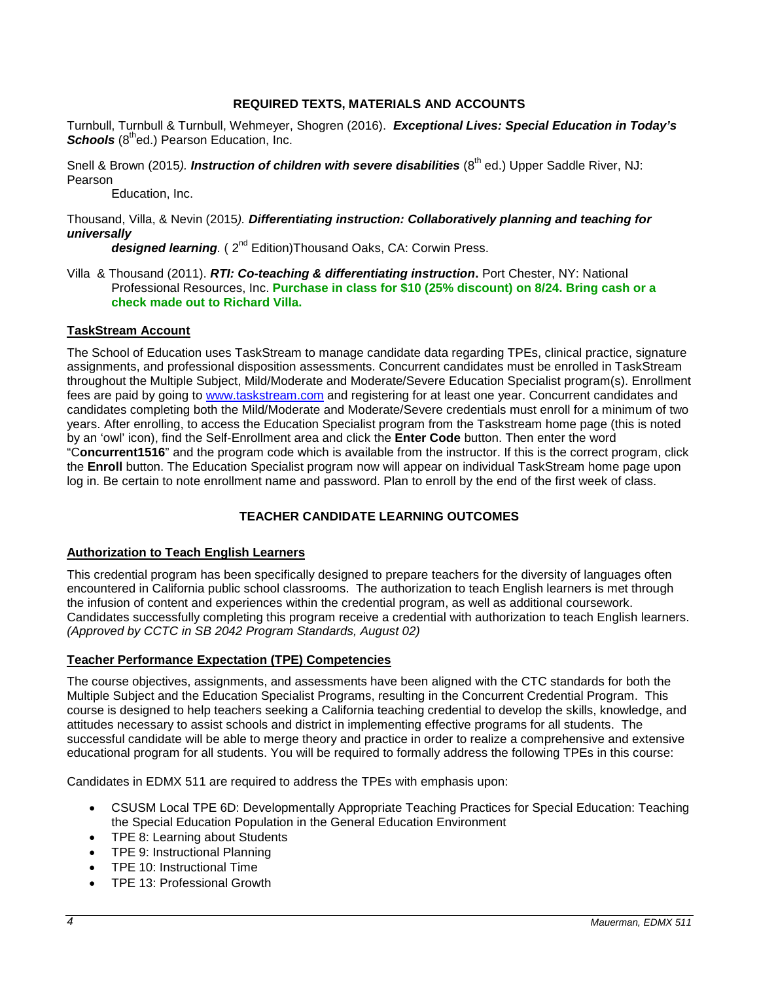### **REQUIRED TEXTS, MATERIALS AND ACCOUNTS**

<span id="page-3-0"></span>Turnbull, Turnbull & Turnbull, Wehmeyer, Shogren (2016). *Exceptional Lives: Special Education in Today's*  **Schools** (8<sup>th</sup>ed.) Pearson Education, Inc.

## Snell & Brown (2015). *Instruction of children with severe disabilities* (8<sup>th</sup> ed.) Upper Saddle River. NJ: Pearson

Education, Inc.

### Thousand, Villa, & Nevin (2015*). Differentiating instruction: Collaboratively planning and teaching for universally*

*designed learning.* ( 2nd Edition)Thousand Oaks, CA: Corwin Press.

Villa & Thousand (2011). *RTI: Co-teaching & differentiating instruction***.** Port Chester, NY: National Professional Resources, Inc. **Purchase in class for \$10 (25% discount) on 8/24. Bring cash or a check made out to Richard Villa.** 

### <span id="page-3-1"></span>**TaskStream Account**

The School of Education uses TaskStream to manage candidate data regarding TPEs, clinical practice, signature assignments, and professional disposition assessments. Concurrent candidates must be enrolled in TaskStream throughout the Multiple Subject, Mild/Moderate and Moderate/Severe Education Specialist program(s). Enrollment fees are paid by going to [www.taskstream.com](https://copilot.csusm.edu/owa/redir.aspx?C=JQGRF98_YUaQtaUmRLCQfVWnwmJwxs9IDInTVMhk81xWIUA7hRT2uY6jlnFWAAXDSUJtKsld_Qs.&URL=http%3a%2f%2fwww.taskstrem.com) and registering for at least one year. Concurrent candidates and candidates completing both the Mild/Moderate and Moderate/Severe credentials must enroll for a minimum of two years. After enrolling, to access the Education Specialist program from the Taskstream home page (this is noted by an 'owl' icon), find the Self-Enrollment area and click the **Enter Code** button. Then enter the word "C**oncurrent1516**" and the program code which is available from the instructor. If this is the correct program, click the **Enroll** button. The Education Specialist program now will appear on individual TaskStream home page upon log in. Be certain to note enrollment name and password. Plan to enroll by the end of the first week of class.

## **TEACHER CANDIDATE LEARNING OUTCOMES**

#### <span id="page-3-3"></span><span id="page-3-2"></span>**Authorization to Teach English Learners**

This credential program has been specifically designed to prepare teachers for the diversity of languages often encountered in California public school classrooms. The authorization to teach English learners is met through the infusion of content and experiences within the credential program, as well as additional coursework. Candidates successfully completing this program receive a credential with authorization to teach English learners. *(Approved by CCTC in SB 2042 Program Standards, August 02)*

#### <span id="page-3-4"></span>**Teacher Performance Expectation (TPE) Competencies**

The course objectives, assignments, and assessments have been aligned with the CTC standards for both the Multiple Subject and the Education Specialist Programs, resulting in the Concurrent Credential Program. This course is designed to help teachers seeking a California teaching credential to develop the skills, knowledge, and attitudes necessary to assist schools and district in implementing effective programs for all students. The successful candidate will be able to merge theory and practice in order to realize a comprehensive and extensive educational program for all students. You will be required to formally address the following TPEs in this course:

Candidates in EDMX 511 are required to address the TPEs with emphasis upon:

- CSUSM Local TPE 6D: Developmentally Appropriate Teaching Practices for Special Education: Teaching the Special Education Population in the General Education Environment
- TPE 8: Learning about Students
- TPE 9: Instructional Planning
- TPE 10: Instructional Time
- TPE 13: Professional Growth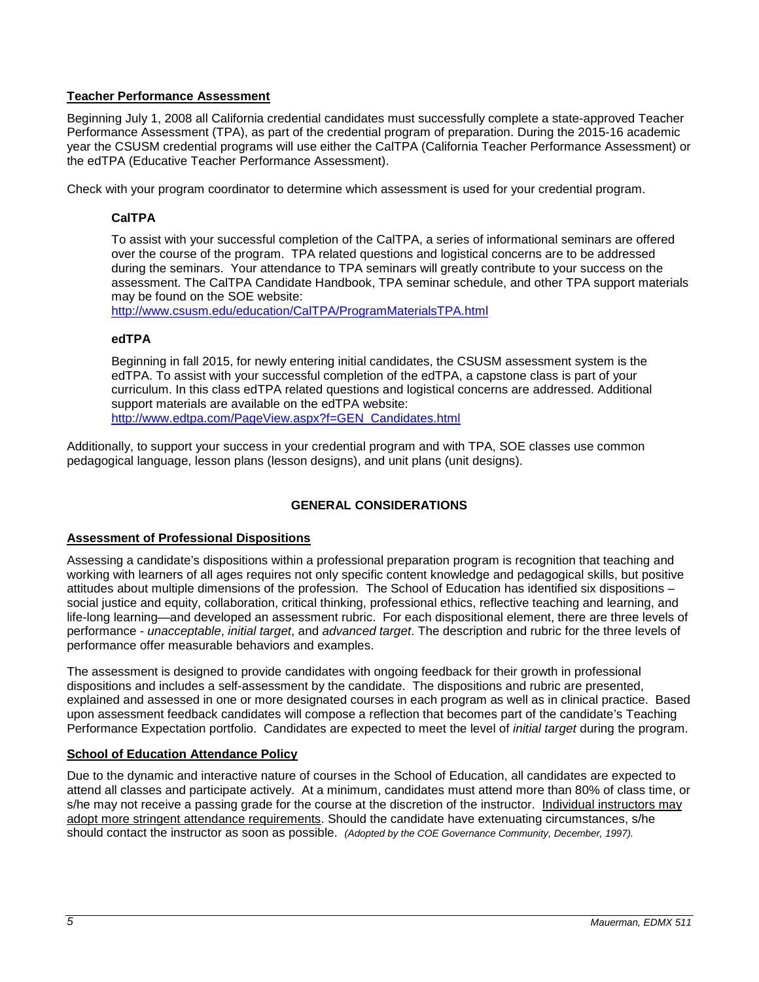## <span id="page-4-0"></span>**Teacher Performance Assessment**

Beginning July 1, 2008 all California credential candidates must successfully complete a state-approved Teacher Performance Assessment (TPA), as part of the credential program of preparation. During the 2015-16 academic year the CSUSM credential programs will use either the CalTPA (California Teacher Performance Assessment) or the edTPA (Educative Teacher Performance Assessment).

<span id="page-4-1"></span>Check with your program coordinator to determine which assessment is used for your credential program.

## **CalTPA**

To assist with your successful completion of the CalTPA, a series of informational seminars are offered over the course of the program. TPA related questions and logistical concerns are to be addressed during the seminars. Your attendance to TPA seminars will greatly contribute to your success on the assessment. The CalTPA Candidate Handbook, TPA seminar schedule, and other TPA support materials may be found on the SOE website:

<http://www.csusm.edu/education/CalTPA/ProgramMaterialsTPA.html>

## <span id="page-4-2"></span>**edTPA**

Beginning in fall 2015, for newly entering initial candidates, the CSUSM assessment system is the edTPA. To assist with your successful completion of the edTPA, a capstone class is part of your curriculum. In this class edTPA related questions and logistical concerns are addressed. Additional support materials are available on the edTPA website: [http://www.edtpa.com/PageView.aspx?f=GEN\\_Candidates.html](http://www.edtpa.com/PageView.aspx?f=GEN_Candidates.html)

Additionally, to support your success in your credential program and with TPA, SOE classes use common pedagogical language, lesson plans (lesson designs), and unit plans (unit designs).

## **GENERAL CONSIDERATIONS**

## <span id="page-4-4"></span><span id="page-4-3"></span>**Assessment of Professional Dispositions**

Assessing a candidate's dispositions within a professional preparation program is recognition that teaching and working with learners of all ages requires not only specific content knowledge and pedagogical skills, but positive attitudes about multiple dimensions of the profession. The School of Education has identified six dispositions – social justice and equity, collaboration, critical thinking, professional ethics, reflective teaching and learning, and life-long learning—and developed an assessment rubric. For each dispositional element, there are three levels of performance - *unacceptable*, *initial target*, and *advanced target*. The description and rubric for the three levels of performance offer measurable behaviors and examples.

The assessment is designed to provide candidates with ongoing feedback for their growth in professional dispositions and includes a self-assessment by the candidate. The dispositions and rubric are presented, explained and assessed in one or more designated courses in each program as well as in clinical practice. Based upon assessment feedback candidates will compose a reflection that becomes part of the candidate's Teaching Performance Expectation portfolio. Candidates are expected to meet the level of *initial target* during the program.

## <span id="page-4-5"></span>**School of Education Attendance Policy**

Due to the dynamic and interactive nature of courses in the School of Education, all candidates are expected to attend all classes and participate actively. At a minimum, candidates must attend more than 80% of class time, or s/he may not receive a passing grade for the course at the discretion of the instructor. Individual instructors may adopt more stringent attendance requirements. Should the candidate have extenuating circumstances, s/he should contact the instructor as soon as possible. *(Adopted by the COE Governance Community, December, 1997).*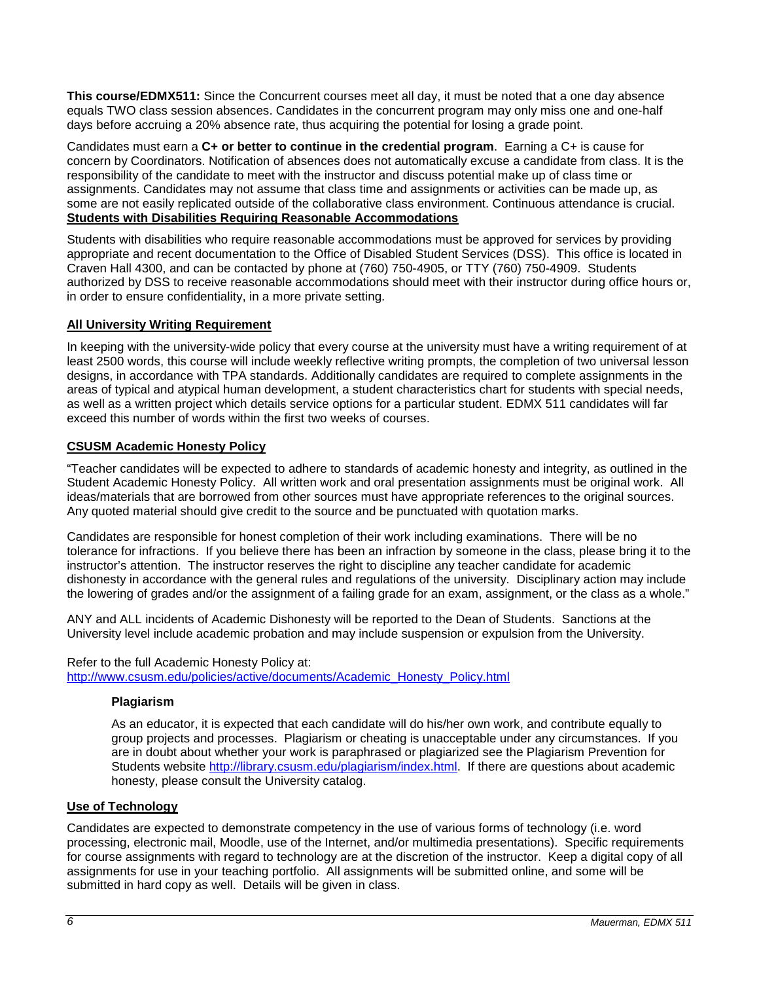**This course/EDMX511:** Since the Concurrent courses meet all day, it must be noted that a one day absence equals TWO class session absences. Candidates in the concurrent program may only miss one and one-half days before accruing a 20% absence rate, thus acquiring the potential for losing a grade point.

Candidates must earn a **C+ or better to continue in the credential program**. Earning a C+ is cause for concern by Coordinators. Notification of absences does not automatically excuse a candidate from class. It is the responsibility of the candidate to meet with the instructor and discuss potential make up of class time or assignments. Candidates may not assume that class time and assignments or activities can be made up, as some are not easily replicated outside of the collaborative class environment. Continuous attendance is crucial. **Students with Disabilities Requiring Reasonable Accommodations**

<span id="page-5-0"></span>Students with disabilities who require reasonable accommodations must be approved for services by providing appropriate and recent documentation to the Office of Disabled Student Services (DSS). This office is located in Craven Hall 4300, and can be contacted by phone at (760) 750-4905, or TTY (760) 750-4909. Students authorized by DSS to receive reasonable accommodations should meet with their instructor during office hours or, in order to ensure confidentiality, in a more private setting.

## <span id="page-5-1"></span>**All University Writing Requirement**

In keeping with the university-wide policy that every course at the university must have a writing requirement of at least 2500 words, this course will include weekly reflective writing prompts, the completion of two universal lesson designs, in accordance with TPA standards. Additionally candidates are required to complete assignments in the areas of typical and atypical human development, a student characteristics chart for students with special needs, as well as a written project which details service options for a particular student. EDMX 511 candidates will far exceed this number of words within the first two weeks of courses.

## <span id="page-5-2"></span>**CSUSM Academic Honesty Policy**

"Teacher candidates will be expected to adhere to standards of academic honesty and integrity, as outlined in the Student Academic Honesty Policy. All written work and oral presentation assignments must be original work. All ideas/materials that are borrowed from other sources must have appropriate references to the original sources. Any quoted material should give credit to the source and be punctuated with quotation marks.

Candidates are responsible for honest completion of their work including examinations. There will be no tolerance for infractions. If you believe there has been an infraction by someone in the class, please bring it to the instructor's attention. The instructor reserves the right to discipline any teacher candidate for academic dishonesty in accordance with the general rules and regulations of the university. Disciplinary action may include the lowering of grades and/or the assignment of a failing grade for an exam, assignment, or the class as a whole."

ANY and ALL incidents of Academic Dishonesty will be reported to the Dean of Students. Sanctions at the University level include academic probation and may include suspension or expulsion from the University.

<span id="page-5-3"></span>Refer to the full Academic Honesty Policy at: [http://www.csusm.edu/policies/active/documents/Academic\\_Honesty\\_Policy.html](http://www.csusm.edu/policies/active/documents/Academic_Honesty_Policy.html)

## **Plagiarism**

As an educator, it is expected that each candidate will do his/her own work, and contribute equally to group projects and processes. Plagiarism or cheating is unacceptable under any circumstances. If you are in doubt about whether your work is paraphrased or plagiarized see the Plagiarism Prevention for Students website [http://library.csusm.edu/plagiarism/index.html.](http://library.csusm.edu/plagiarism/index.html) If there are questions about academic honesty, please consult the University catalog.

## <span id="page-5-4"></span>**Use of Technology**

Candidates are expected to demonstrate competency in the use of various forms of technology (i.e. word processing, electronic mail, Moodle, use of the Internet, and/or multimedia presentations). Specific requirements for course assignments with regard to technology are at the discretion of the instructor. Keep a digital copy of all assignments for use in your teaching portfolio. All assignments will be submitted online, and some will be submitted in hard copy as well. Details will be given in class.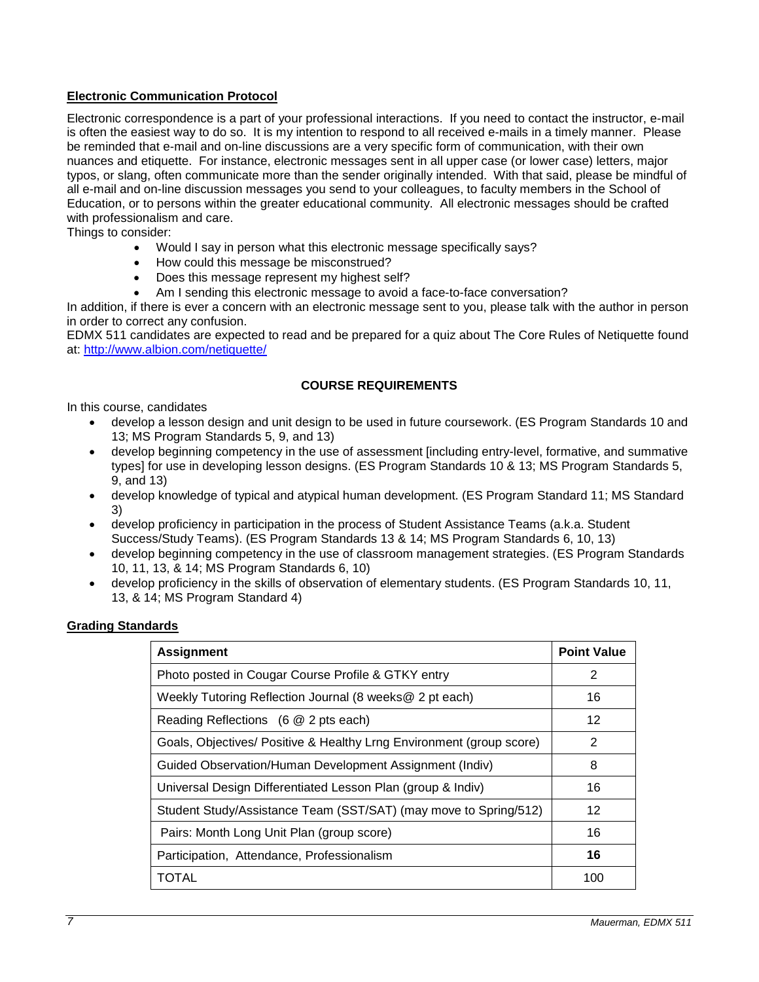## <span id="page-6-0"></span>**Electronic Communication Protocol**

Electronic correspondence is a part of your professional interactions. If you need to contact the instructor, e-mail is often the easiest way to do so. It is my intention to respond to all received e-mails in a timely manner. Please be reminded that e-mail and on-line discussions are a very specific form of communication, with their own nuances and etiquette. For instance, electronic messages sent in all upper case (or lower case) letters, major typos, or slang, often communicate more than the sender originally intended. With that said, please be mindful of all e-mail and on-line discussion messages you send to your colleagues, to faculty members in the School of Education, or to persons within the greater educational community. All electronic messages should be crafted with professionalism and care.

Things to consider:

- Would I say in person what this electronic message specifically says?
- How could this message be misconstrued?
- Does this message represent my highest self?
- Am I sending this electronic message to avoid a face-to-face conversation?

In addition, if there is ever a concern with an electronic message sent to you, please talk with the author in person in order to correct any confusion.

EDMX 511 candidates are expected to read and be prepared for a quiz about The Core Rules of Netiquette found at:<http://www.albion.com/netiquette/>

#### **COURSE REQUIREMENTS**

<span id="page-6-1"></span>In this course, candidates

- develop a lesson design and unit design to be used in future coursework. (ES Program Standards 10 and 13; MS Program Standards 5, 9, and 13)
- develop beginning competency in the use of assessment [including entry-level, formative, and summative types] for use in developing lesson designs. (ES Program Standards 10 & 13; MS Program Standards 5, 9, and 13)
- develop knowledge of typical and atypical human development. (ES Program Standard 11; MS Standard 3)
- develop proficiency in participation in the process of Student Assistance Teams (a.k.a. Student Success/Study Teams). (ES Program Standards 13 & 14; MS Program Standards 6, 10, 13)
- develop beginning competency in the use of classroom management strategies. (ES Program Standards 10, 11, 13, & 14; MS Program Standards 6, 10)
- develop proficiency in the skills of observation of elementary students. (ES Program Standards 10, 11, 13, & 14; MS Program Standard 4)

#### <span id="page-6-2"></span>**Grading Standards**

| <b>Assignment</b>                                                    | <b>Point Value</b> |
|----------------------------------------------------------------------|--------------------|
| Photo posted in Cougar Course Profile & GTKY entry                   | 2                  |
| Weekly Tutoring Reflection Journal (8 weeks@ 2 pt each)              | 16                 |
| Reading Reflections (6 @ 2 pts each)                                 | 12                 |
| Goals, Objectives/ Positive & Healthy Lrng Environment (group score) | 2                  |
| Guided Observation/Human Development Assignment (Indiv)              | 8                  |
| Universal Design Differentiated Lesson Plan (group & Indiv)          | 16                 |
| Student Study/Assistance Team (SST/SAT) (may move to Spring/512)     | 12                 |
| Pairs: Month Long Unit Plan (group score)                            | 16                 |
| Participation, Attendance, Professionalism                           | 16                 |
| TOTAL                                                                | 100                |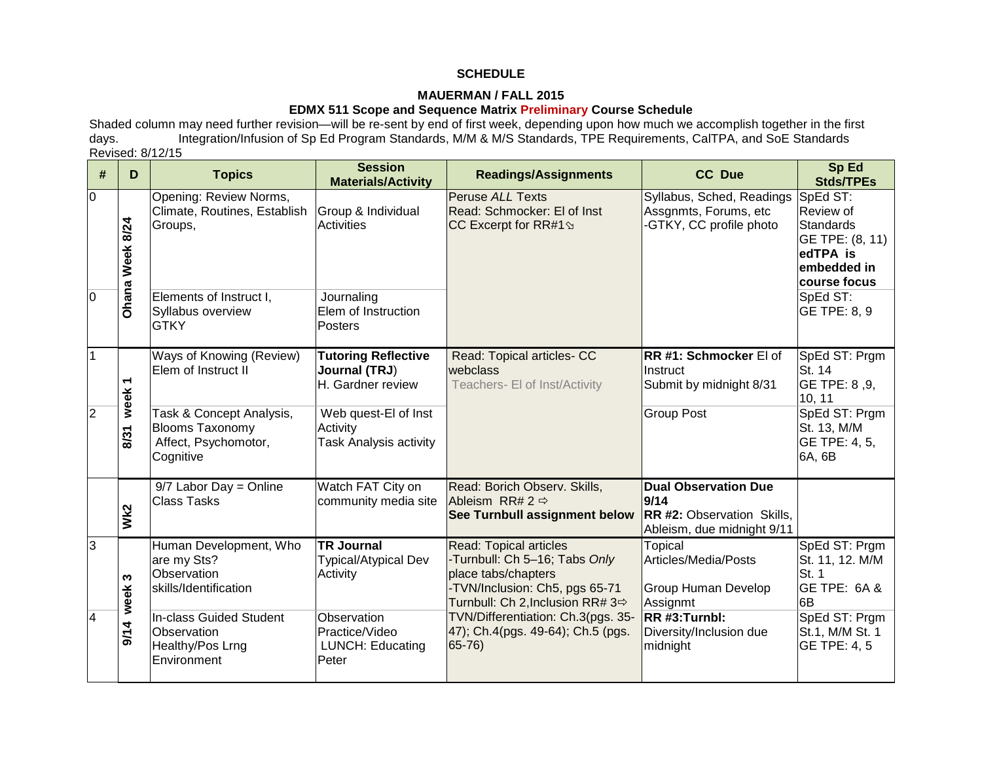## **SCHEDULE**

## **MAUERMAN / FALL 2015**

# **EDMX 511 Scope and Sequence Matrix Preliminary Course Schedule**

Shaded column may need further revision—will be re-sent by end of first week, depending upon how much we accomplish together in the first days.<br>days. Integration/Infusion of Sp Ed Program Standards, M/M & M/S Standards, TP Integration/Infusion of Sp Ed Program Standards, M/M & M/S Standards, TPE Requirements, CalTPA, and SoE Standards Revised: 8/12/15

<span id="page-7-0"></span>

| #              | D               | <b>Topics</b>                                                                           | <b>Session</b><br><b>Materials/Activity</b>                       | <b>Readings/Assignments</b>                                                                                                                                 | <b>CC Due</b>                                                                                   | Sp Ed<br><b>Stds/TPEs</b>                                                                               |
|----------------|-----------------|-----------------------------------------------------------------------------------------|-------------------------------------------------------------------|-------------------------------------------------------------------------------------------------------------------------------------------------------------|-------------------------------------------------------------------------------------------------|---------------------------------------------------------------------------------------------------------|
| $\overline{0}$ | Ohana Week 8/24 | Opening: Review Norms,<br>Climate, Routines, Establish<br>Groups,                       | Group & Individual<br><b>Activities</b>                           | <b>Peruse ALL Texts</b><br>Read: Schmocker: El of Inst<br>CC Excerpt for RR#1 \$                                                                            | Syllabus, Sched, Readings<br>Assgnmts, Forums, etc<br>-GTKY, CC profile photo                   | SpEd ST:<br>Review of<br><b>Standards</b><br>GE TPE: (8, 11)<br>edTPA is<br>embedded in<br>course focus |
| $\overline{0}$ |                 | Elements of Instruct I,<br>Syllabus overview<br><b>GTKY</b>                             | Journaling<br>Elem of Instruction<br>Posters                      |                                                                                                                                                             |                                                                                                 | SpEd ST:<br>GE TPE: 8, 9                                                                                |
| $\overline{1}$ | ٣<br>week       | Ways of Knowing (Review)<br>Elem of Instruct II                                         | <b>Tutoring Reflective</b><br>Journal (TRJ)<br>H. Gardner review  | Read: Topical articles- CC<br>webclass<br>Teachers- El of Inst/Activity                                                                                     | RR #1: Schmocker El of<br><b>Instruct</b><br>Submit by midnight 8/31                            | SpEd ST: Prgm<br>St. 14<br>GE TPE: 8,9,<br>10, 11                                                       |
| $\overline{2}$ | 8/31            | Task & Concept Analysis,<br><b>Blooms Taxonomy</b><br>Affect, Psychomotor,<br>Cognitive | Web quest-El of Inst<br>Activity<br><b>Task Analysis activity</b> |                                                                                                                                                             | <b>Group Post</b>                                                                               | SpEd ST: Prgm<br>St. 13, M/M<br>GE TPE: 4, 5,<br>6A, 6B                                                 |
|                | Wk2             | $9/7$ Labor Day = Online<br><b>Class Tasks</b>                                          | Watch FAT City on<br>community media site                         | Read: Borich Observ. Skills,<br>Ableism RR# 2 $\Rightarrow$<br>See Turnbull assignment below                                                                | <b>Dual Observation Due</b><br>9/14<br>RR #2: Observation Skills,<br>Ableism, due midnight 9/11 |                                                                                                         |
| $\overline{3}$ | S<br>week       | Human Development, Who<br>are my Sts?<br><b>Observation</b><br>skills/Identification    | <b>TR Journal</b><br><b>Typical/Atypical Dev</b><br>Activity      | <b>Read: Topical articles</b><br>-Turnbull: Ch 5-16; Tabs Only<br>place tabs/chapters<br>-TVN/Inclusion: Ch5, pgs 65-71<br>Turnbull: Ch 2, Inclusion RR# 3⇔ | <b>Topical</b><br>Articles/Media/Posts<br><b>Group Human Develop</b><br>Assignmt                | SpEd ST: Prgm<br>St. 11, 12. M/M<br>St. 1<br>GE TPE: 6A &<br>6B                                         |
| $\overline{4}$ | 9/14            | In-class Guided Student<br><b>Observation</b><br>Healthy/Pos Lrng<br>Environment        | Observation<br>Practice/Video<br><b>LUNCH: Educating</b><br>Peter | TVN/Differentiation: Ch.3(pgs. 35-<br>47); Ch.4(pgs. 49-64); Ch.5 (pgs.<br>$65 - 76$                                                                        | RR #3:Turnbl:<br>Diversity/Inclusion due<br>midnight                                            | SpEd ST: Prgm<br>St.1, M/M St. 1<br><b>GE TPE: 4, 5</b>                                                 |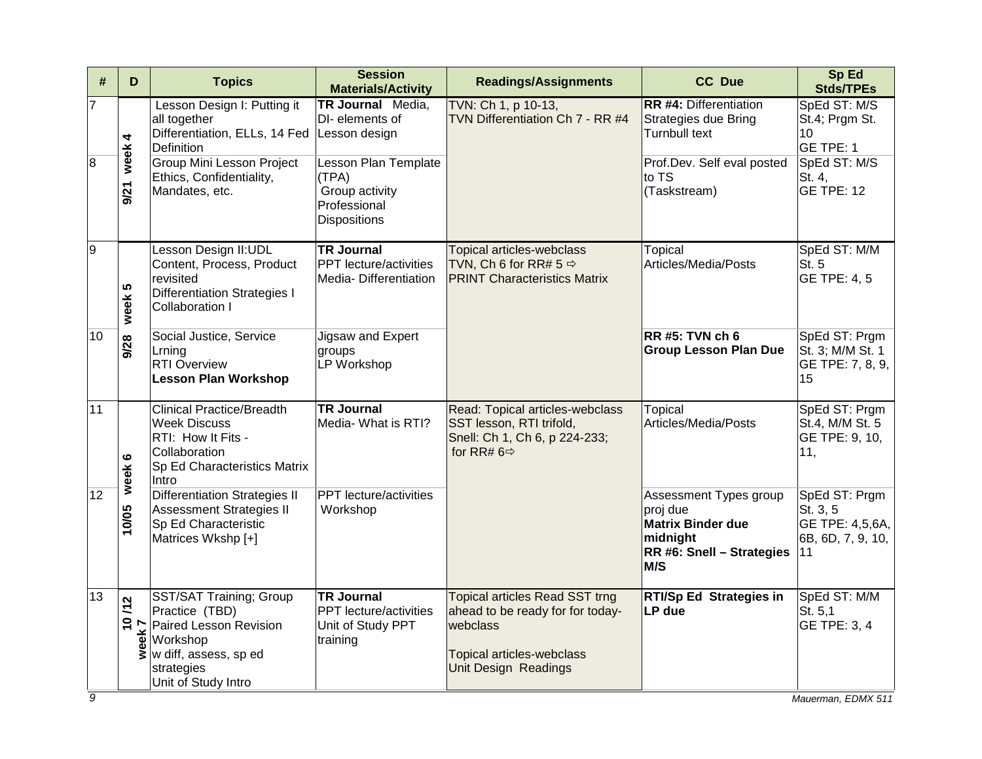| #                   | D              | <b>Topics</b>                                                                                                                                                                       | <b>Session</b><br><b>Materials/Activity</b>                                               | <b>Readings/Assignments</b>                                                                                                                | <b>CC Due</b>                                                                                                                               | Sp Ed<br><b>Stds/TPEs</b>                                                                        |
|---------------------|----------------|-------------------------------------------------------------------------------------------------------------------------------------------------------------------------------------|-------------------------------------------------------------------------------------------|--------------------------------------------------------------------------------------------------------------------------------------------|---------------------------------------------------------------------------------------------------------------------------------------------|--------------------------------------------------------------------------------------------------|
| 7<br>$\overline{8}$ | week 4<br>9/21 | Lesson Design I: Putting it<br>all together<br>Differentiation, ELLs, 14 Fed Lesson design<br>Definition<br>Group Mini Lesson Project<br>Ethics, Confidentiality,<br>Mandates, etc. | TR Journal Media,<br>DI-elements of<br>Lesson Plan Template<br>(TPA)<br>Group activity    | TVN: Ch 1, p 10-13,<br>TVN Differentiation Ch 7 - RR #4                                                                                    | <b>RR #4: Differentiation</b><br><b>Strategies due Bring</b><br><b>Turnbull text</b><br>Prof.Dev. Self eval posted<br>to TS<br>(Taskstream) | SpEd ST: M/S<br>St.4; Prgm St.<br>10<br>GE TPE: 1<br>SpEd ST: M/S<br>St. 4,<br><b>GE TPE: 12</b> |
| $\overline{9}$      |                | Lesson Design II:UDL<br>Content, Process, Product                                                                                                                                   | Professional<br><b>Dispositions</b><br><b>TR Journal</b><br><b>PPT</b> lecture/activities | Topical articles-webclass<br>TVN, Ch 6 for RR# $5 \Rightarrow$                                                                             | <b>Topical</b><br>Articles/Media/Posts                                                                                                      | SpEd ST: M/M<br>St. 5                                                                            |
|                     | week 5         | revisited<br><b>Differentiation Strategies I</b><br><b>Collaboration I</b>                                                                                                          | Media-Differentiation                                                                     | <b>PRINT Characteristics Matrix</b>                                                                                                        |                                                                                                                                             | GE TPE: 4, 5                                                                                     |
| 10                  | 9/28           | Social Justice, Service<br>Lrning<br><b>RTI Overview</b><br><b>Lesson Plan Workshop</b>                                                                                             | Jigsaw and Expert<br>groups<br>LP Workshop                                                |                                                                                                                                            | $RR$ #5: TVN ch 6<br><b>Group Lesson Plan Due</b>                                                                                           | SpEd ST: Prgm<br>St. 3; M/M St. 1<br>GE TPE: 7, 8, 9,<br>15                                      |
| 11                  | ဖ<br>week      | <b>Clinical Practice/Breadth</b><br><b>Week Discuss</b><br>RTI: How It Fits -<br>Collaboration<br>Sp Ed Characteristics Matrix<br>Intro                                             | <b>TR Journal</b><br>Media- What is RTI?                                                  | Read: Topical articles-webclass<br>SST lesson, RTI trifold,<br>Snell: Ch 1, Ch 6, p 224-233;<br>for RR# $6 \Rightarrow$                    | Topical<br>Articles/Media/Posts                                                                                                             | SpEd ST: Prgm<br>St.4, M/M St. 5<br>GE TPE: 9, 10,<br>11,                                        |
| 12                  | 10/05          | <b>Differentiation Strategies II</b><br><b>Assessment Strategies II</b><br>Sp Ed Characteristic<br>Matrices Wkshp [+]                                                               | <b>PPT</b> lecture/activities<br>Workshop                                                 |                                                                                                                                            | Assessment Types group<br>proj due<br><b>Matrix Binder due</b><br>midnight<br>RR #6: Snell - Strategies<br>M/S                              | SpEd ST: Prgm<br>St. 3, 5<br>GE TPE: 4,5,6A,<br>6B, 6D, 7, 9, 10,<br>11                          |
| 13                  |                | SST/SAT Training; Group<br>SS <sub>1/3</sub><br>Practice (TBD)<br>Paired Lesson Revision<br>Workshop<br>Workshop<br>We diff, assess, sp ed<br>strategies<br>Unit of Study Intro     | <b>TR Journal</b><br><b>PPT</b> lecture/activities<br>Unit of Study PPT<br>training       | Topical articles Read SST trng<br>ahead to be ready for for today-<br>webclass<br>Topical articles-webclass<br><b>Unit Design Readings</b> | <b>RTI/Sp Ed Strategies in</b><br>LP due                                                                                                    | SpEd ST: M/M<br>St. 5,1<br>GE TPE: 3, 4                                                          |
| $\overline{9}$      |                |                                                                                                                                                                                     |                                                                                           |                                                                                                                                            |                                                                                                                                             | Mauerman, EDMX 511                                                                               |